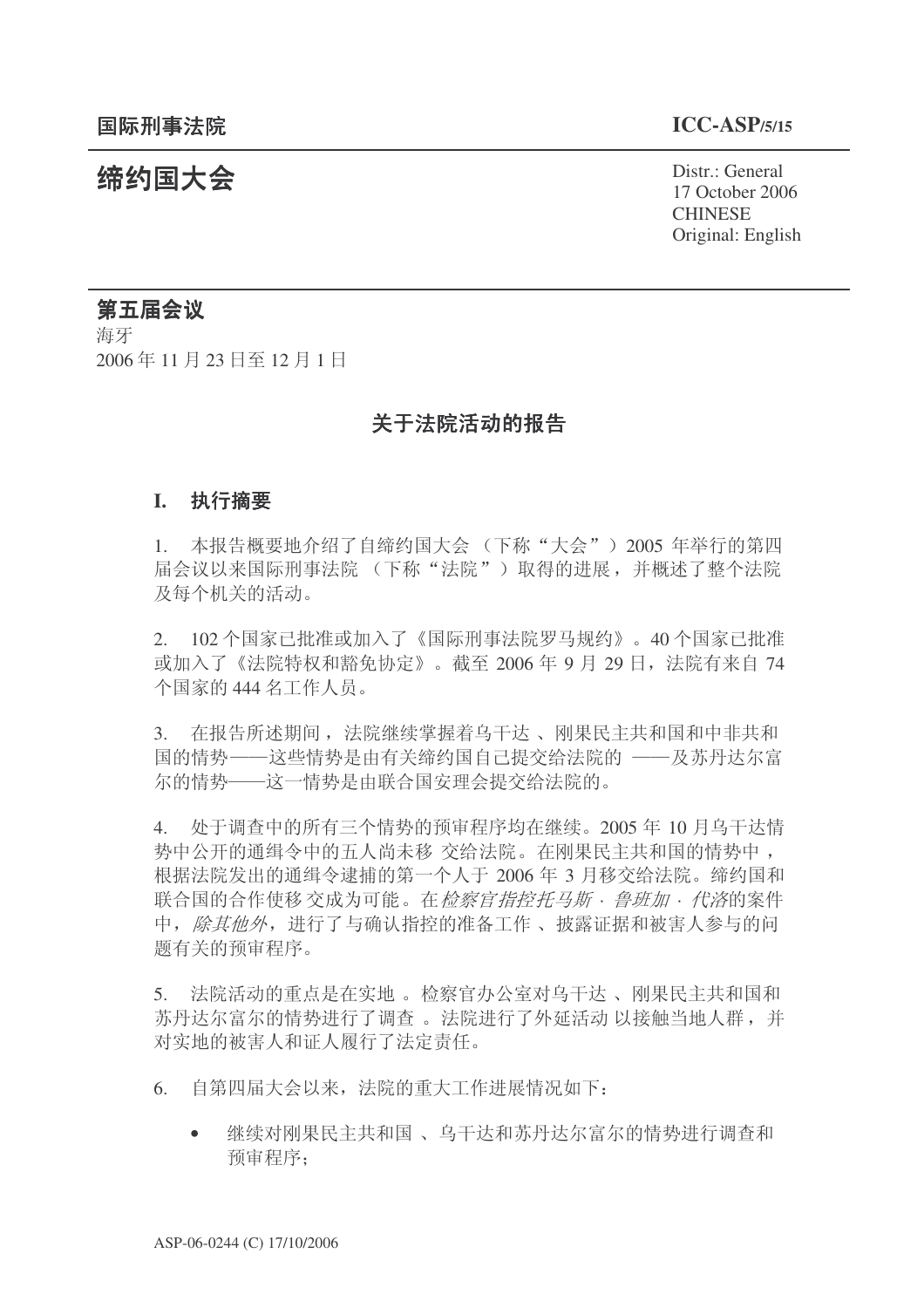**缔约国大会**<br>◆ Distr.: General 17 October 2006 **CHINESE** Original: English

# 第五届会议

海牙 2006年11月23日至12月1日

# 关于法院活动的报告

### **I.** 执行摘要

1. 本报告概要地介绍了自缔约国大会 (下称"大会") 2005 年举行的第四 届会议以来国际刑事法院 (下称"法院") 取得的讲展, 并概述了整个法院 及每个机关的活动。

2. 102 个国家已批准或加入了《国际刑事法院罗马规约》。40 个国家已批准 或加入了《法院特权和豁免协定》。截至 2006 年 9 月 29 日, 法院有来自 74 个国家的 444 名工作人员。

3. 在报告所述期间, 法院继续掌握着乌干达、刚果民主共和国和中非共和 国的情势——这些情势是由有关缔约国自己提交给法院的 ——及苏丹达尔富 尔的情势——这一情势是由联合国安理会提交给法院的。

4. 处于调杳中的所有三个情势的预审程序均在继续。2005年10月乌干达情 势中公开的通缉令中的五人尚未移 交给法院。在刚果民主共和国的情势中, 根据法院发出的通缉令逮捕的第一个人于 2006 年 3 月移交给法院。缔约国和 联合国的合作使移 交成为可能。在*检察官指控托马斯·鲁班加·代洛*的案件 中, 除其他外, 进行了与确认指控的准备工作、披露证据和被害人参与的问 题有关的预审程序。

5. 法院活动的重点是在实地。检察官办公室对乌干达、刚果民主共和国和 苏丹达尔富尔的情势进行了调查。法院进行了外延活动 以接触当地人群,并 对实地的被害人和证人履行了法定责任。

- 6. 自第四届大会以来, 法院的重大工作进展情况如下:
	- 继续对刚果民主共和国、乌干达和苏丹达尔富尔的情势进行调杳和 预审程序: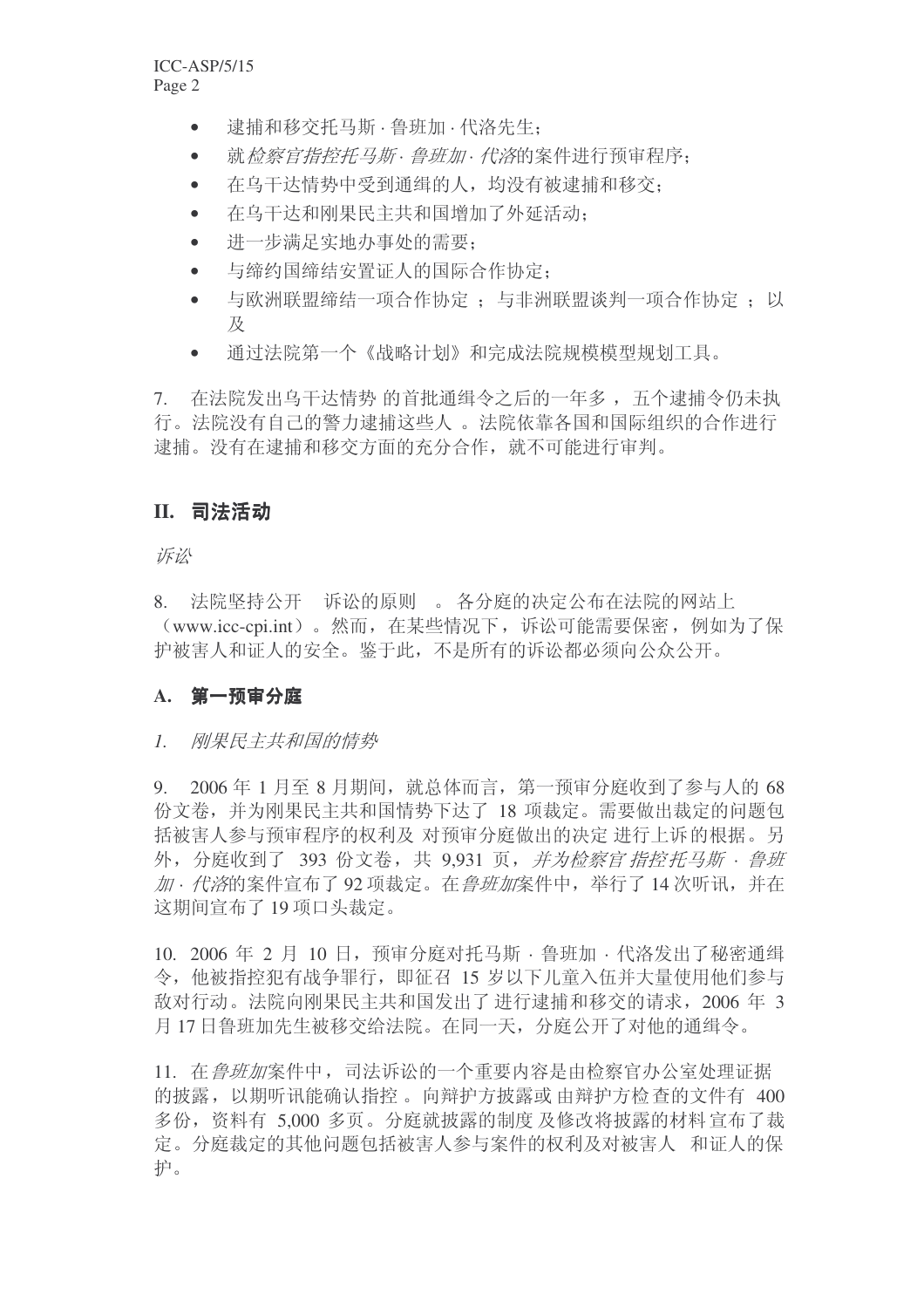- 逮捕和移交托马斯 · 鲁班加 · 代洛先生;
- 就检察官指控托马斯·鲁班加·代溶的案件进行预审程序:
- 在乌干达情势中受到通缉的人,均没有被逮捕和移交;
- 在乌干达和刚果民主共和国增加了外延活动:
- 进一步满足实地办事处的需要;
- 与缔约国缔结安置证人的国际合作协定:
- 与欧洲联盟缔结一项合作协定: 与非洲联盟谈判一项合作协定: 以 及
- 通过法院第一个《战略计划》和完成法院规模模型规划工具。

7. 在法院发出乌干达情势 的首批通缉令之后的一年多, 五个逮捕令仍未执 行。法院没有自己的警力逮捕这些人。法院依靠各国和国际组织的合作进行 逮捕。没有在逮捕和移交方面的充分合作, 就不可能进行审判。

# Ⅱ. 司法活动

诉讼

8. 法院坚持公开 诉讼的原则 。各分庭的决定公布在法院的网站上 (www.icc-cpi.int)。然而, 在某些情况下, 诉讼可能需要保密, 例如为了保 护被害人和证人的安全。鉴于此,不是所有的诉讼都必须向公众公开。

# A. 第一预审分庭

# 1 刚果民主共和国的情势

9. 2006年1月至8月期间, 就总体而言, 第一预审分庭收到了参与人的 68 份文卷,并为刚果民主共和国情势下达了 18 项裁定。需要做出裁定的问题包 括被害人参与预审程序的权利及 对预审分庭做出的决定 进行上诉的根据。另 外, 分庭收到了 393 份文卷, 共 9.931 页, *并为检察官指控托马斯 · 鲁班* 加· 代溶的案件宣布了92 项裁定。在*鲁班加*案件中, 举行了14 次听讯, 并在 这期间宣布了19 项口头裁定。

10. 2006 年 2 月 10 日, 预审分庭对托马斯 · 鲁班加 · 代洛发出了秘密通缉 今,他被指控犯有战争罪行,即征召 15 岁以下儿童入伍并大量使用他们参与 敌对行动。法院向刚果民主共和国发出了 讲行逮捕和移交的请求, 2006 年 3 月17日鲁班加先生被移交给法院。在同一天, 分庭公开了对他的通缉令。

11. 在 鲁班加案件中, 司法诉讼的一个重要内容是由检察官办公室处理证据 的披露,以期听讯能确认指控。向辩护方披露或由辩护方检查的文件有 400 多份, 资料有 5,000 多页。分庭就披露的制度 及修改将披露的材料 官布了裁 定。分庭裁定的其他问题包括被害人参与案件的权利及对被害人 和证人的保 护。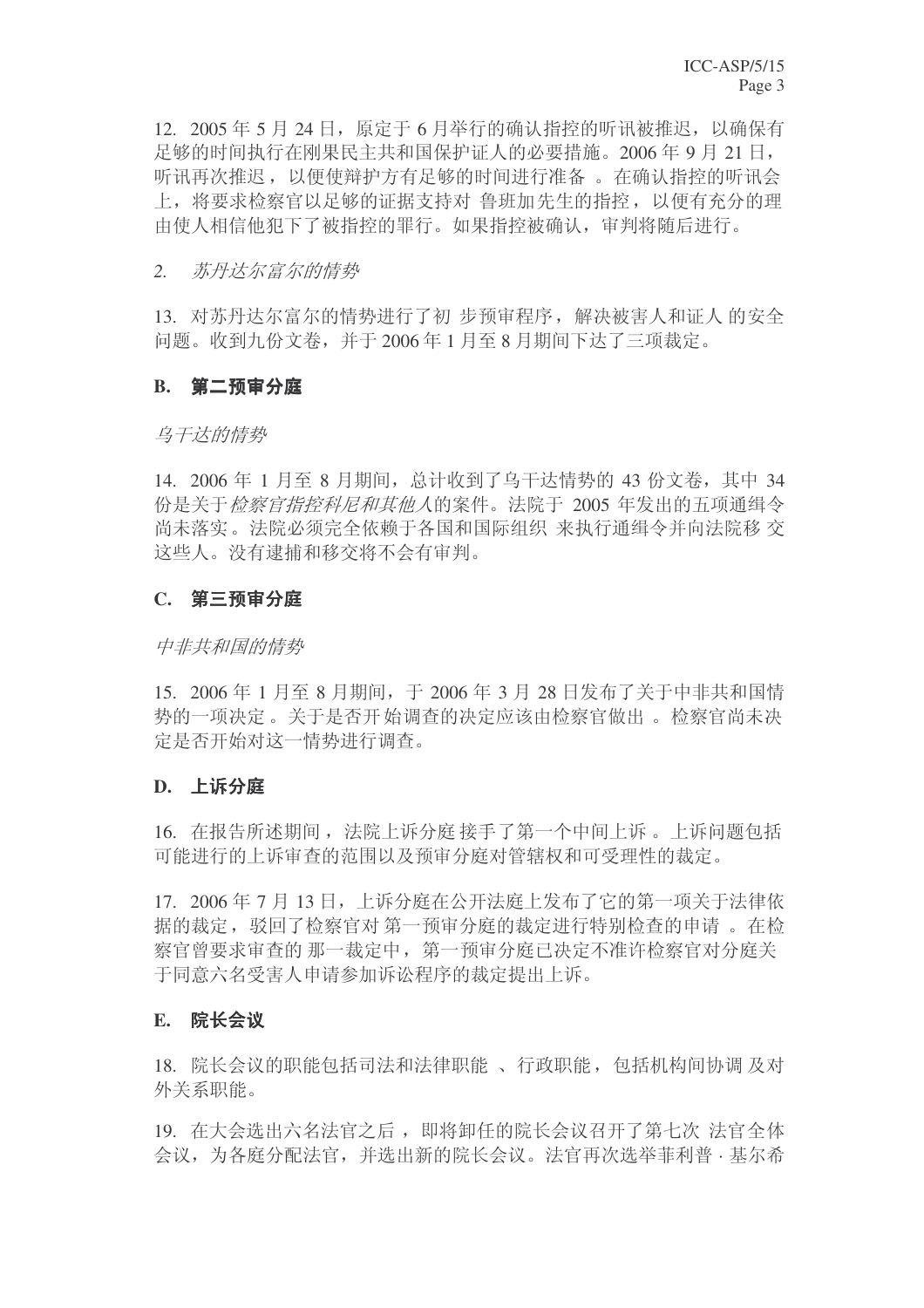$12.2005 \n \n \n \n 24 \n H. \n \n 6 \n 5 \n 6 \n 7 \n 24 \n 6 \n 7 \n 6 \n 7 \n 7 \n 8 \n 7 \n 8 \n 9 \n 14 \n 15 \n 16 \n 17 \n 18 \n 19 \n 19 \n 10 \n 11 \n 12 \n 13 \n 14 \n 15 \n 16 \n$ 足够的时间执行在刚果民主共和国保护证人的必要措施。2006年9月21日, 听讯再次推迟, 以便使辩护方有足够的时间进行准备 。在确认指控的听讯会 上, 将要求检察官以足够的证据支持对 鲁班加先生的指控,以便有充分的理 由使人相信他犯下了被指控的罪行。如果指控被确认,审判将随后进行。

#### 2. 苏丹*达尔富尔的情势*

13. 对苏丹达尔富尔的情势进行了初步预审程序,解决被害人和证人的安全 问题。收到九份文卷,并于2006年1月至8月期间下达了三项裁定。

#### **B.** 第二预审分庭

#### 乌干达的情势

14. 2006 年 1 月至 8 月期间, 总计收到了乌干达情势的 43 份文卷, 其中 34 份是关于检察官指控科尼和其他人的案件。法院于 2005 年发出的五项通缉令 尚未落实。法院必须完全依赖于各国和国际组织 来执行通缉令并向法院移 交 这些人。没有逮捕和移交将不会有审判。

#### $C.$  第三预审分庭

#### 中非共和国的情势

15. 2006年1月至8月期间, 于 2006年3月 28 日发布了关于中非共和国情 势的一项决定。关于是否开始调查的决定应该由检察官做出。检察官尚未决 定是否开始对这一情势讲行调杳。

#### **D.** 上诉分庭

16. 在报告所述期间, 法院上诉分庭接手了第一个中间上诉。上诉问题包括 可能进行的上诉审查的范围以及预审分庭对管辖权和可受理性的裁定。

17. 2006年7月13日,上诉分庭在公开法庭上发布了它的第一项关于法律依 据的裁定, 驳回了检察官对第一预审分庭的裁定进行特别检查的申请。在检 察官曾要求审查的那一裁定中,第一预审分庭已决定不准许检察官对分庭关 于同意六名受害人申请参加诉讼程序的裁定提出上诉。

#### **E.** 院长会议

18. 院长会议的职能包括司法和法律职能、行政职能, 包括机构间协调及对 外关系职能。

19. 在大会选出六名法官之后,即将卸任的院长会议召开了第七次 法官全体 会议, 为各庭分配法官, 并选出新的院长会议。法官再次选举菲利普 · 基尔希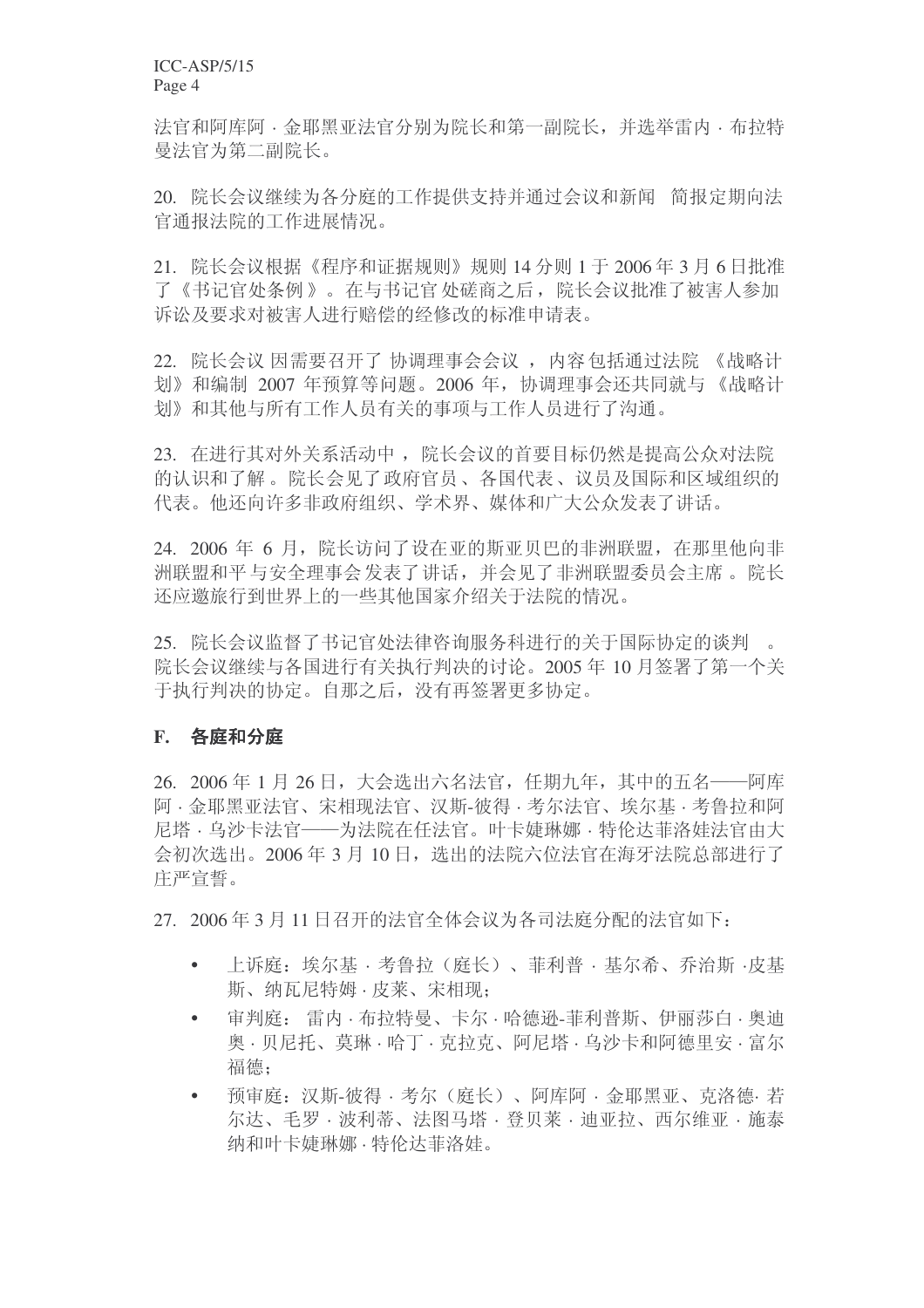法官和阿库阿 · 金耶黑亚法官分别为院长和第一副院长, 并选举雷内 · 布拉特 曼法官为第二副院长。

20. 院长会议继续为各分庭的工作提供支持并通过会议和新闻 简报定期向法 官通报法院的工作进展情况。

21. 院长会议根据《程序和证据规则》规则 14 分则 1 于 2006 年 3 月 6 日批准 了《书记官处条例》。在与书记官处磋商之后, 院长会议批准了被害人参加 诉讼及要求对被害人进行赔偿的经修改的标准申请表。

22. 院长会议 因需要召开了 协调理事会会议, 内容包括通过法院 《战略计 划》和编制 2007 年预算等问题。2006 年, 协调理事会还共同就与《战略计 划》和其他与所有工作人员有关的事项与工作人员进行了沟通。

23. 在进行其对外关系活动中, 院长会议的首要目标仍然是提高公众对法院 的认识和了解。院长会见了政府官员、各国代表、议员及国际和区域组织的 代表。他还向许多非政府组织、学术界、媒体和广大公众发表了讲话。

24. 2006 年 6 月,院长访问了设在亚的斯亚贝巴的非洲联盟,在那里他向非 洲联盟和平与安全理事会发表了讲话,并会见了非洲联盟委员会主席。院长 还应邀旅行到世界上的一些其他国家介绍关于法院的情况。

25. 院长会议监督了书记官处法律咨询服务科进行的关于国际协定的谈判 。 院长会议继续与各国进行有关执行判决的讨论。2005年10月签署了第一个关 于执行判决的协定。自那之后, 没有再签署更多协定。

# F. 各庭和分庭

26. 2006年1月26日, 大会选出六名法官, 任期九年, 其中的五名——阿库 阿 · 金耶黑亚法官、宋相现法官、汉斯-彼得 · 考尔法官、埃尔基 · 考鲁拉和阿 尼塔·乌沙卡法官——为法院在任法官。叶卡婕琳娜·特伦达菲洛娃法官由大 会初次选出。2006年3月10日, 选出的法院六位法官在海牙法院总部进行了 庄严宣誓。

27. 2006年3月11日召开的法官全体会议为各司法庭分配的法官如下:

- 上诉庭: 埃尔基 · 考鲁拉(庭长)、菲利普 · 基尔希、乔治斯 ·皮基 斯、纳瓦尼特姆 · 皮莱、宋相现:
- 审判庭: 雷内·布拉特曼、卡尔·哈德逊-菲利普斯、伊丽莎白·奥迪 奧 · 贝尼托、莫琳 · 哈丁 · 克拉克、阿尼塔 · 乌沙卡和阿德里安 · 富尔 福德:
- 预审庭: 汉斯-彼得·考尔(庭长)、阿库阿·金耶黑亚、克洛德·若 尔达、毛罗·波利蒂、法图马塔·登贝莱·迪亚拉、西尔维亚·施泰 纳和叶卡婕琳娜 · 特伦达菲洛娃。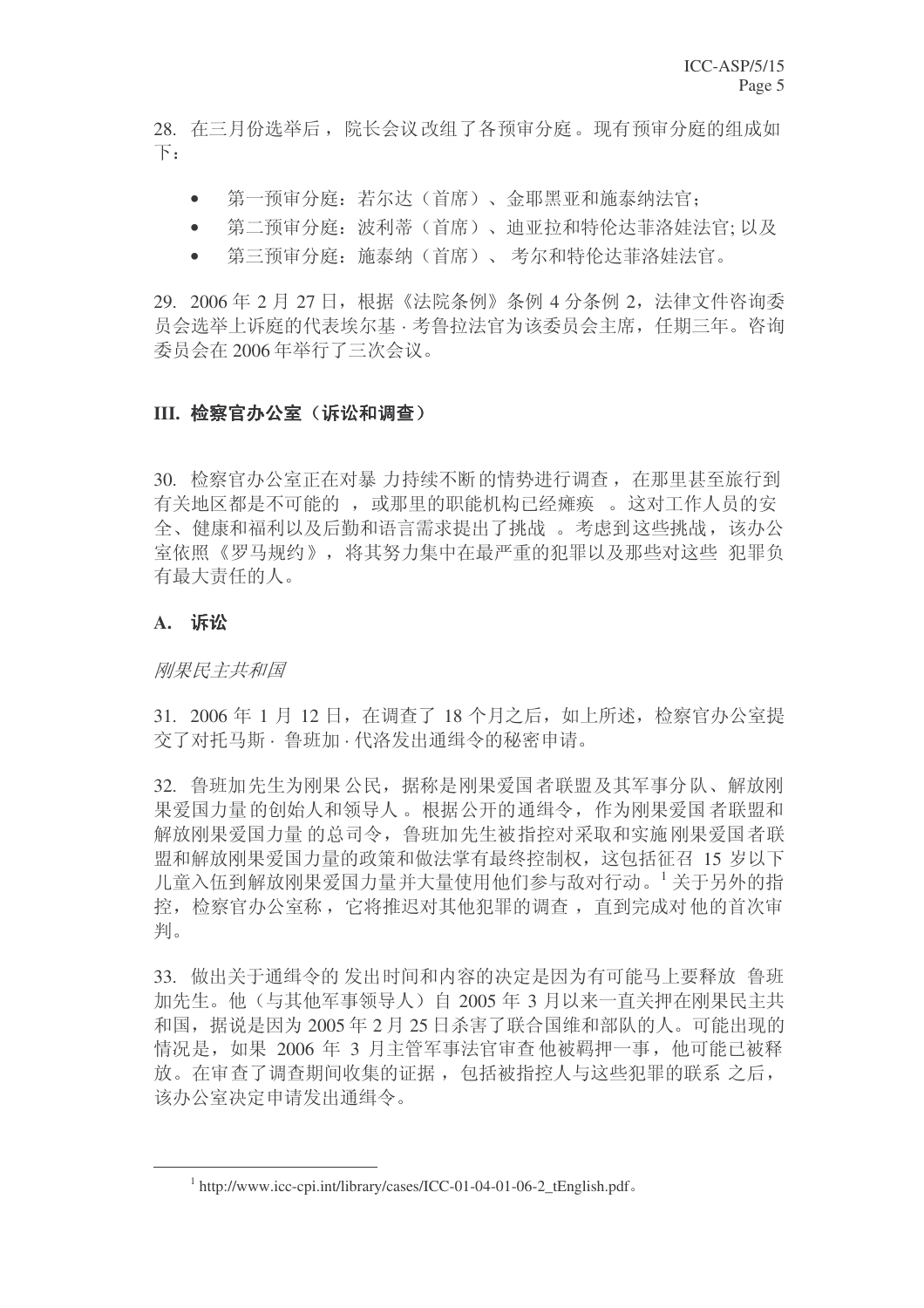28. 在三月份选举后, 院长会议改组了各预审分庭。现有预审分庭的组成如  $\top$ :

- 第一预审分庭:若尔达(首席)、金耶黑亚和施泰纳法官;
- 第二预审分庭: 波利蒂(首席)、迪亚拉和特伦达菲洛娃法官; 以及
- 第三预审分庭: 施泰纳(首席)、考尔和特伦达菲洛娃法官。

29. 2006年 2 月 27 日, 根据《法院条例》条例 4 分条例 2, 法律文件咨询委 员会选举上诉庭的代表埃尔基 · 考鲁拉法官为该委员会主席, 任期三年。咨询 委员会在 2006 年举行了三次会议。

# III. 检察官办公室(诉讼和调查)

30. 检察官办公室正在对暴力持续不断的情势进行调查, 在那里甚至旅行到 有关地区都是不可能的, 或那里的职能机构已经瘫痪。这对工作人员的安 全、健康和福利以及后勤和语言需求提出了挑战。考虑到这些挑战,该办公 室依照《罗马规约》, 将其努力集中在最严重的犯罪以及那些对这些 犯罪负 有最大责任的人。

# A. 诉讼

刚果民主共和国

31. 2006 年 1 月 12 日, 在调查了 18 个月之后, 如上所述, 检察官办公室提 交了对托马斯 · 鲁班加 · 代洛发出通缉令的秘密申请。

32. 鲁班加先生为刚果公民,据称是刚果爱国者联盟及其军事分队、解放刚 果爱国力量的创始人和领导人。根据公开的通缉令, 作为刚果爱国者联盟和 解放刚果爱国力量的总司令,鲁班加先生被指控对采取和实施刚果爱国者联 盟和解放刚果爱国力量的政策和做法掌有最终控制权, 这包括征召 15 岁以下 儿童入伍到解放刚果爱国力量并大量使用他们参与敌对行动。<sup>1</sup> 关于另外的指 控, 检察官办公室称, 它将推迟对其他犯罪的调查, 直到完成对他的首次审 判。

33. 做出关于通缉令的发出时间和内容的决定是因为有可能马上要释放 鲁班 加先生。他(与其他军事领导人)自 2005 年 3 月以来一直关押在刚果民主共 和国, 据说是因为 2005 年 2 月 25 日杀害了联合国维和部队的人。可能出现的 情况是, 如果 2006 年 3 月主管军事法官审查 他被羁押一事, 他可能已被释 放。在审查了调查期间收集的证据,包括被指控人与这些犯罪的联系 之后, 该办公室决定申请发出通缉令。

 $1$  http://www.icc-cpi.int/library/cases/ICC-01-04-01-06-2\_tEnglish.pdf.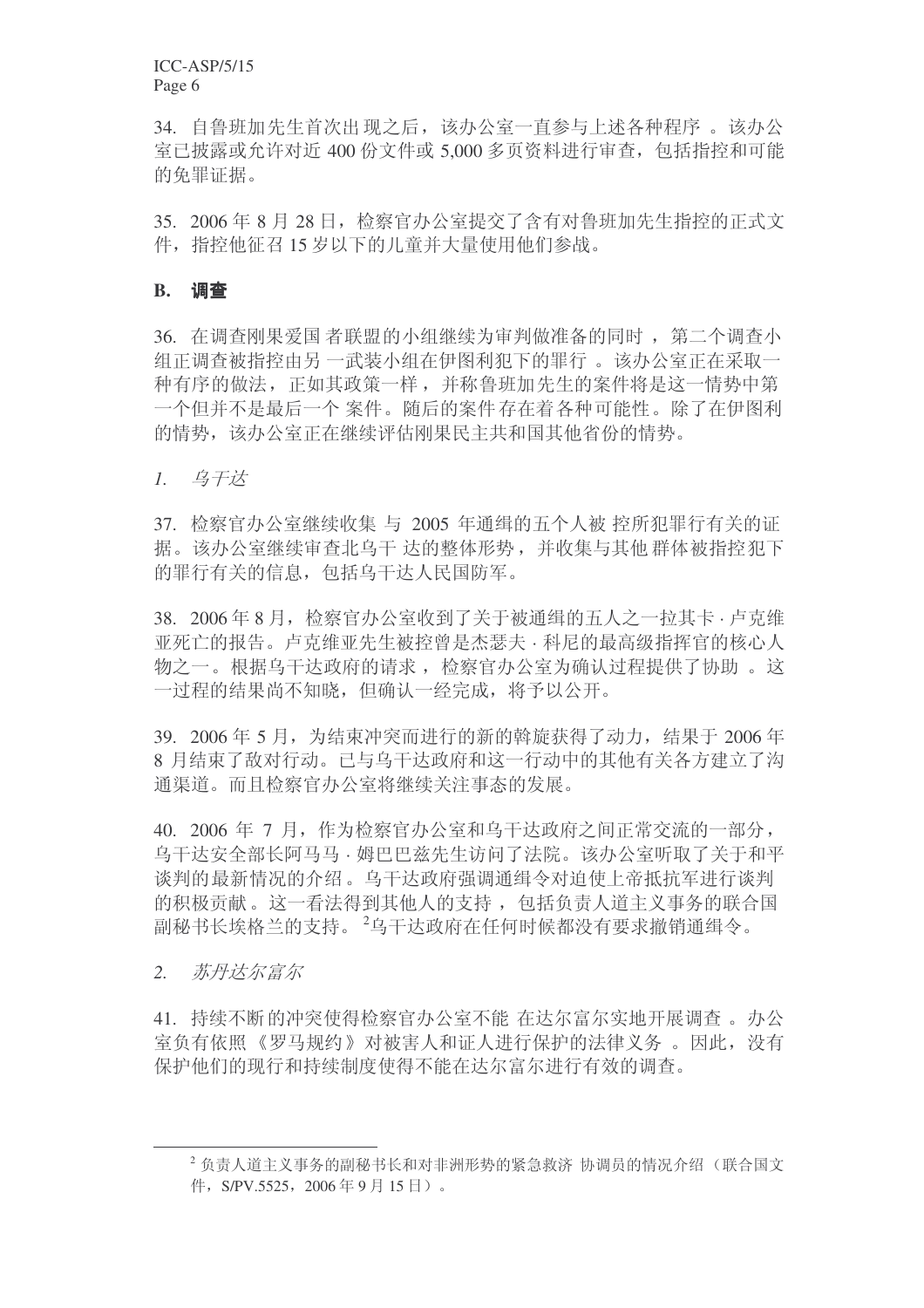34. 自鲁班加先生首次出现之后,该办公室一直参与上述各种程序 。该办公 室已披露或允许对近 400 份文件或 5,000 多页资料讲行审查, 包括指控和可能 的免罪证据。

35. 2006年8月28日, 检察官办公室提交了含有对鲁班加先生指控的正式文 件, 指控他征召15 岁以下的儿童并大量使用他们参战。

#### **B.** 调查

36. 在调查刚果爱国者联盟的小组继续为审判做准备的同时, 第二个调查小 组正调查被指控由另 一武装小组在伊图利犯下的罪行 。 该办公室正在采取一 种有序的做法, 正如其政策一样, 并称鲁班加先生的案件将是这一情势中第 一个但并不是最后一个案件。随后的案件存在着各种可能性。除了在伊图利 的情势, 该办公室正在继续评估刚果民主共和国其他省份的情势。

1. 乌干达

37. 检察官办公室继续收集 与 2005 年通缉的五个人被 控所犯罪行有关的证 据。该办公室继续审查北乌干达的整体形势,并收集与其他群体被指控犯下 的罪行有关的信息, 包括乌干达人民国防军。

38. 2006年8月, 检察官办公室收到了关于被通缉的五人之一拉其卡 · 卢克维 亚死亡的报告。卢克维亚先生被控曾是杰瑟夫 · 科尼的最高级指挥官的核心人 物之一。根据乌干达政府的请求, 检察官办公室为确认过程提供了协助。这 一过程的结果尚不知晓,但确认一经完成,将予以公开。

39. 2006年 5 月, 为结束冲突而进行的新的斡旋获得了动力, 结果于 2006年 8 月结束了敌对行动。已与乌干达政府和这一行动中的其他有关各方建立了沟 通渠道、而且检察官办公室将继续关注事态的发展。

40. 2006 年 7 月, 作为检察官办公室和乌干达政府之间正常交流的一部分, 乌干达安全部长阿马马·姆巴巴兹先生访问了法院。该办公室听取了关于和平 谈判的最新情况的介绍。乌干达政府强调通缉令对迫使上帝抵抗军进行谈判 的积极贡献。这一看法得到其他人的支持, 包括负责人道主义事务的联合国 副秘书长埃格兰的支持。<sup>2</sup>乌干达政府在任何时候都没有要求撤销通缉令。

2. 苏丹*达尔富尔* 

41. 持续不断的冲突使得检察官办公室不能 在达尔富尔实地开展调查。办公 室负有依照《罗马规约》对被害人和证人进行保护的法律义务 。因此,没有 保护他们的现行和持续制度使得不能在达尔富尔进行有效的调查。

 $2$ 负责人道主义事务的副秘书长和对非洲形势的紧急救济 协调员的情况介绍(联合国文 件, S/PV.5525, 2006年9月15日)。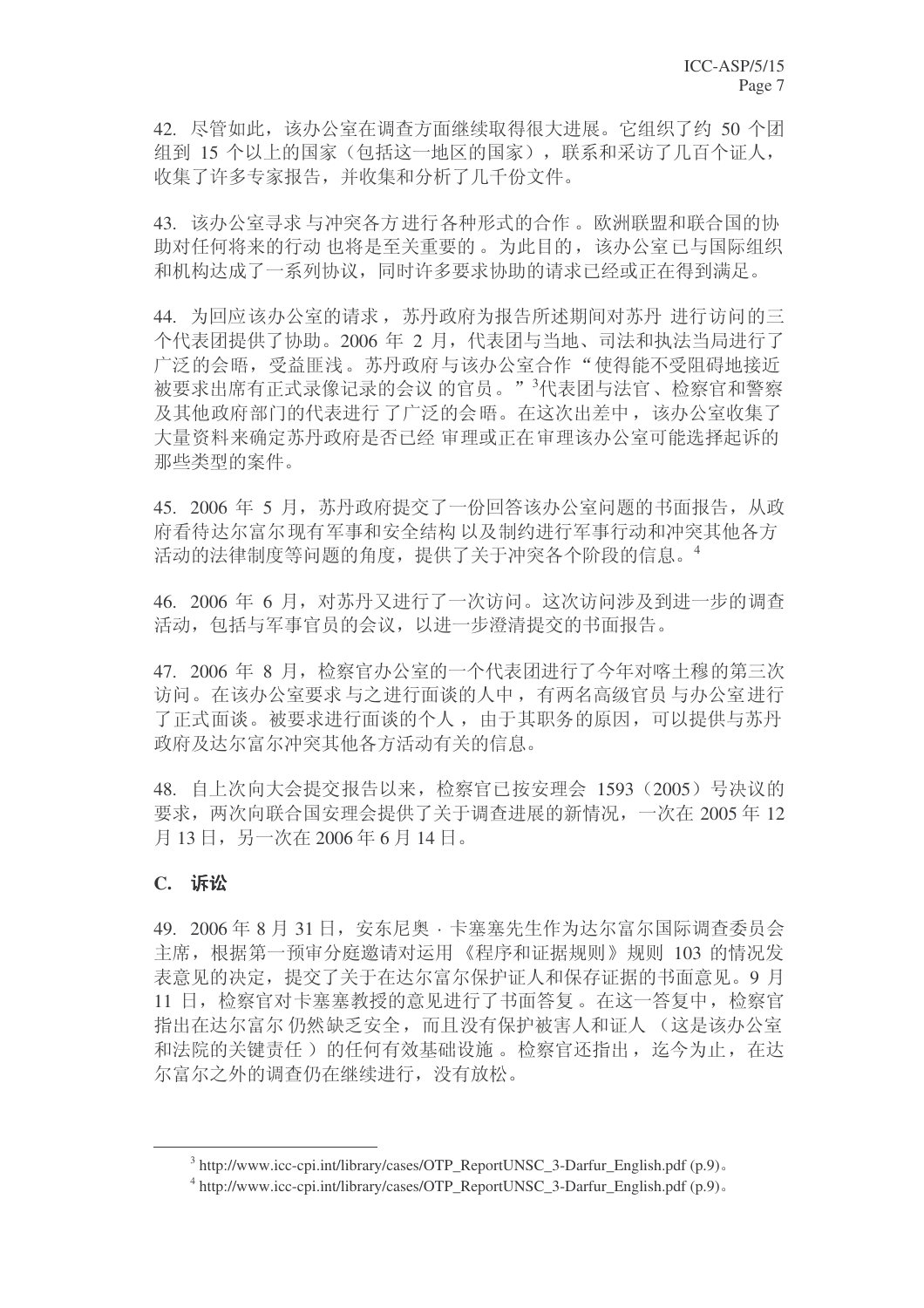42. 尽管如此, 该办公室在调查方面继续取得很大讲展。它组织了约 50 个团 组到 15 个以上的国家(包括这一地区的国家), 联系和采访了几百个证人, 收集了许多专家报告, 并收集和分析了几千份文件。

43. 该办公室寻求与冲突各方进行各种形式的合作。欧洲联盟和联合国的协 助对任何将来的行动 也将是至关重要的。为此目的, 该办公室已与国际组织 和机构达成了一系列协议,同时许多要求协助的请求已经或正在得到满足。

44. 为回应该办公室的请求, 苏丹政府为报告所述期间对苏丹 进行访问的三 个代表团提供了协助。2006 年 2 月, 代表团与当地、司法和执法当局进行了 广泛的会晤, 受益匪浅。苏丹政府与该办公室合作"使得能不受阻碍地接近 被要求出席有正式录像记录的会议的官员。"<sup>3</sup>代表团与法官、检察官和警察 及其他政府部门的代表进行了广泛的会晤。在这次出差中,该办公室收集了 大量资料来确定苏丹政府是否已经 审理或正在审理该办公室可能选择起诉的 那些类型的案件。

45. 2006 年 5 月, 苏丹政府提交了一份回答该办公室问题的书面报告, 从政 府看待达尔富尔现有军事和安全结构以及制约进行军事行动和冲突其他各方 活动的法律制度等问题的角度, 提供了关于冲突各个阶段的信息。<sup>4</sup>

46. 2006 年 6 月, 对苏丹又进行了一次访问。这次访问涉及到进一步的调查 活动, 包括与军事官员的会议, 以进一步澄清提交的书面报告。

47. 2006 年 8 月, 检察官办公室的一个代表团进行了今年对喀土穆的第三次 访问。在该办公室要求与之进行面谈的人中,有两名高级官员与办公室进行 了正式面谈。被要求进行面谈的个人,由于其职务的原因,可以提供与苏丹 政府及达尔富尔冲突其他各方活动有关的信息。

48. 自上次向大会提交报告以来, 检察官已按安理会 1593 (2005) 号决议的 要求, 两次向联合国安理会提供了关于调查进展的新情况, 一次在 2005 年 12 月13日,另一次在2006年6月14日。

# **C.** 䆝䆐

49. 2006年8月31日, 安东尼奥 · 卡塞塞先生作为达尔富尔国际调查委员会 主席, 根据第一预审分庭邀请对运用《程序和证据规则》规则 103 的情况发 表意见的决定, 提交了关于在达尔富尔保护证人和保存证据的书面意见。9月 11 日, 检察官对卡塞塞教授的意见进行了书面答复。在这一答复中, 检察官 指出在达尔富尔 仍然缺乏安全, 而且没有保护被害人和证人 (这是该办公室 和法院的关键责任)的任何有效基础设施。 检察官还指出, 讫今为止, 在达 尔富尔之外的调查仍在继续进行,没有放松。

<sup>&</sup>lt;sup>3</sup> http://www.icc-cpi.int/library/cases/OTP\_ReportUNSC\_3-Darfur\_English.pdf (p.9).

<sup>&</sup>lt;sup>4</sup> http://www.icc-cpi.int/library/cases/OTP\_ReportUNSC\_3-Darfur\_English.pdf (p.9).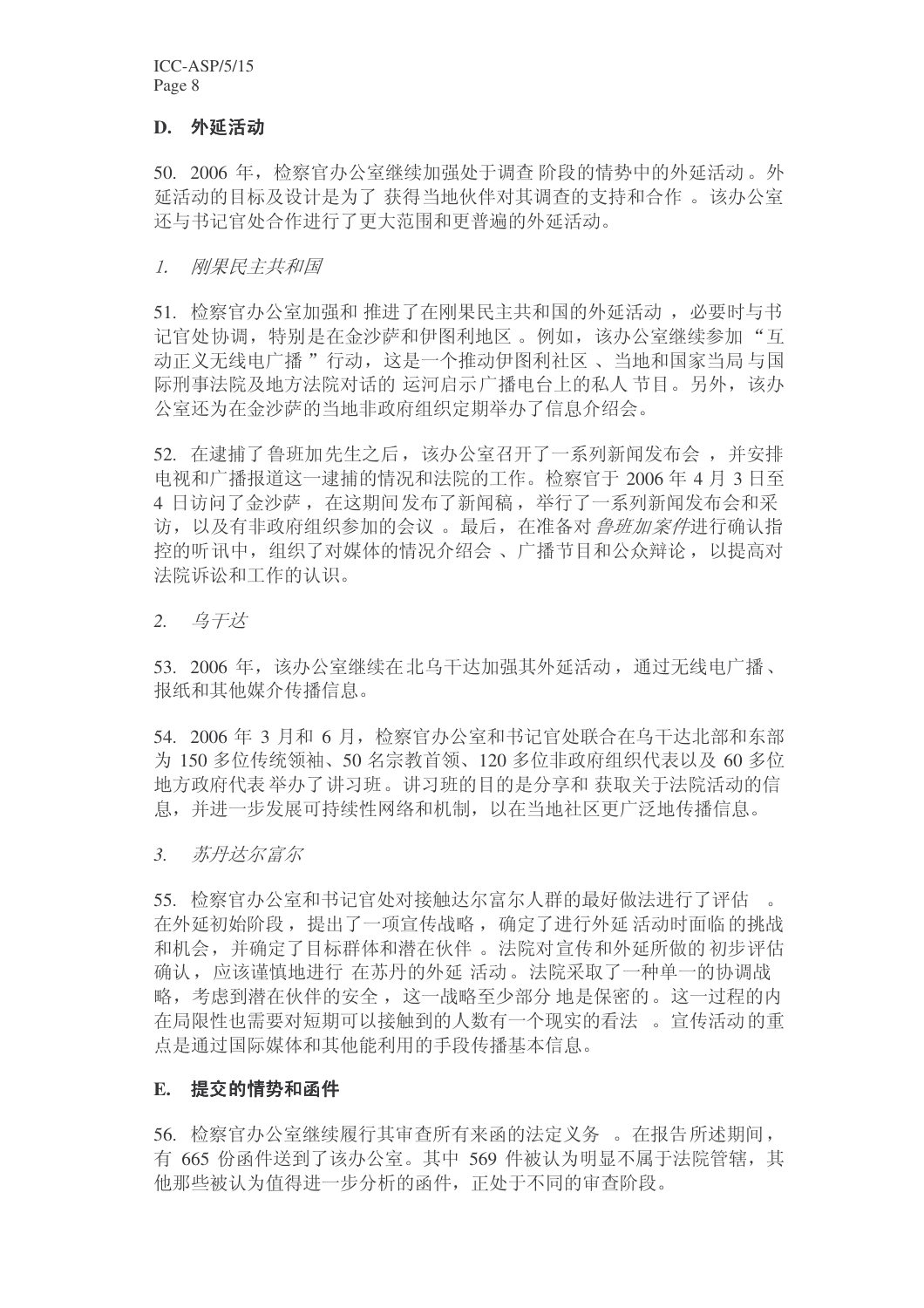ICC-ASP/5/15 Page 8

#### **D.** 外延活动

50. 2006 年, 检察官办公室继续加强处于调查 阶段的情势中的外延活动。外 延活动的目标及设计是为了获得当地伙伴对其调查的支持和合作。该办公室 还与书记官处合作进行了更大范围和更普遍的外延活动。

#### 1. 刚果民主共和国

51. 检察官办公室加强和 推进了在刚果民主共和国的外延活动, 必要时与书 记官处协调, 特别是在金沙萨和伊图利地区。例如, 该办公室继续参加"互 动正义无线电广播"行动,这是一个推动伊图利社区、当地和国家当局与国 际刑事法院及地方法院对话的运河启示广播电台上的私人节目。另外,该办 公室还为在金沙萨的当地非政府组织定期举办了信息介绍会。

52. 在逮捕了鲁班加先生之后, 该办公室召开了一系列新闻发布会, 并安排 电视和广播报道这一逮捕的情况和法院的工作。检察官于 2006年4月3日至 4 日访问了金沙萨, 在这期间发布了新闻稿, 举行了一系列新闻发布会和采 访, 以及有非政府组织参加的会议。最后, 在准备对 鲁班加案件讲行确认指 控的听讯中, 组织了对媒体的情况介绍会、广播节目和公众辩论, 以提高对 法院诉讼和工作的认识。

2. 乌干达

53. 2006 年, 该办公室继续在北乌干达加强其外延活动, 通过无线电广播、 报纸和其他媒介传播信息。

54. 2006 年 3 月和 6 月, 检察官办公室和书记官处联合在乌干达北部和东部 为 150 多位传统领袖、50 名宗教首领、120 多位非政府组织代表以及 60 多位 地方政府代表举办了讲习班。讲习班的目的是分享和 获取关于法院活动的信 息,并讲一步发展可持续性网络和机制,以在当地社区更广泛地传播信息。

3. 苏丹*达尔富尔* 

55. 检察官办公室和书记官处对接触达尔富尔人群的最好做法进行了评估。 在外延初始阶段, 提出了一项宣传战略, 确定了进行外延活动时面临的挑战 和机会,并确定了目标群体和潜在伙伴。法院对宣传和外延所做的初步评估 确认,应该谨慎地进行 在苏丹的外延 活动。 法院采取了一种单一的协调战 略,考虑到潜在伙伴的安全,这一战略至少部分 地是保密的。这一过程的内 在局限性也需要对短期可以接触到的人数有一个现实的看法。官传活动的重 点是通过国际媒体和其他能利用的手段传播基本信息。

#### **E.** 提交的情势和函件

56. 检察官办公室继续履行其审查所有来函的法定义务。在报告所述期间, 有 665 份函件送到了该办公室。其中 569 件被认为明显不属于法院管辖, 其 他那些被认为值得进一步分析的函件, 正处于不同的审查阶段。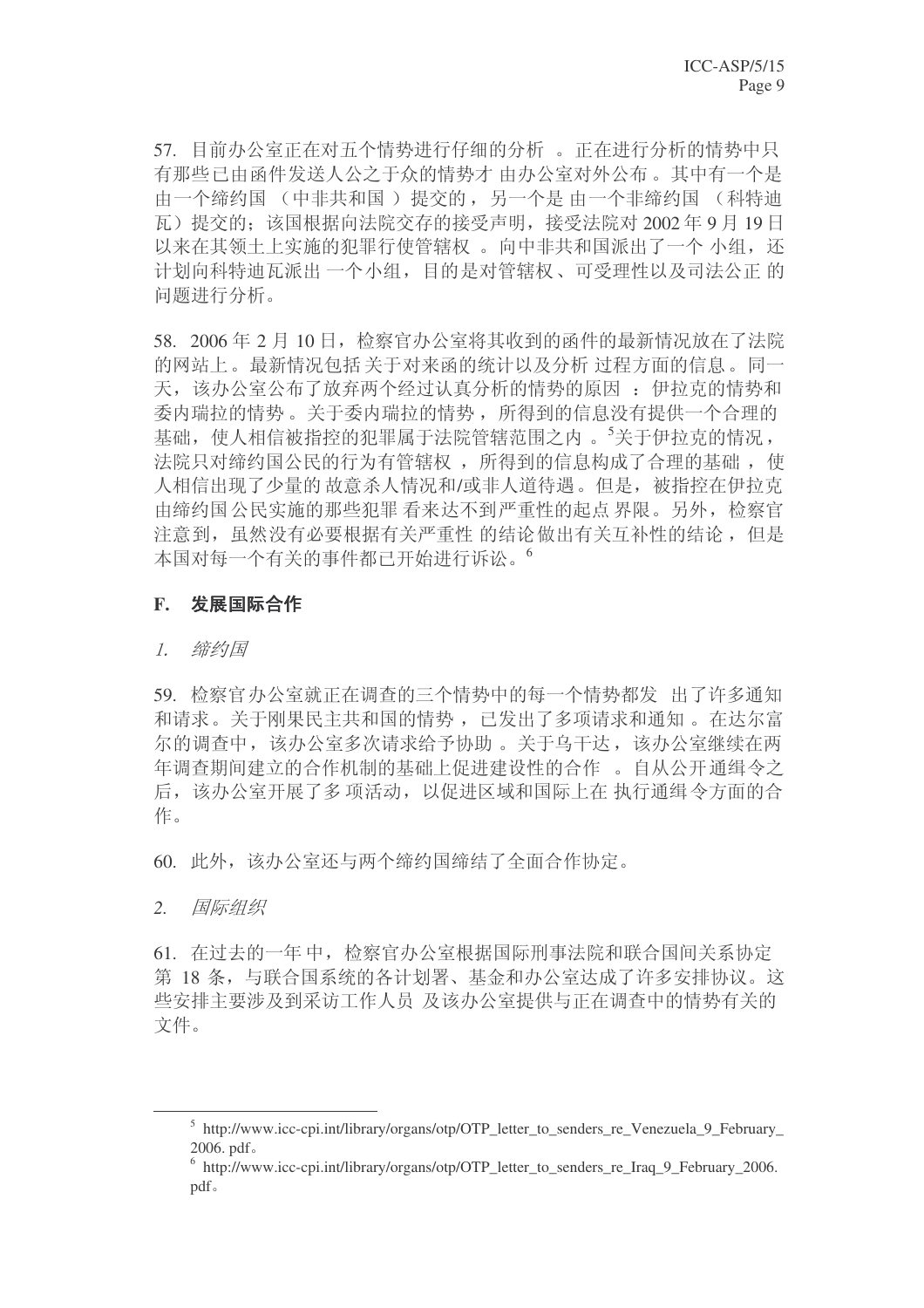57. 目前办公室正在对五个情势进行仔细的分析。正在进行分析的情势中只 有那些已由函件发送人公之于众的情势才 由办公室对外公布。其中有一个是 由一个缔约国(中非共和国)提交的,另一个是由一个非缔约国(科特迪 瓦) 提交的: 该国根据向法院交存的接受声明, 接受法院对 2002年9月19日 以来在其领土上实施的犯罪行使管辖权。向中非共和国派出了一个小组,还 计划向科特迪瓦派出一个小组,目的是对管辖权、可受理性以及司法公正的 问题进行分析。

58. 2006年2月10日, 检察官办公室将其收到的函件的最新情况放在了法院 的网站上。最新情况包括关于对来函的统计以及分析 过程方面的信息。同一 天, 该办公室公布了放弃两个经过认真分析的情势的原因: 伊拉克的情势和 委内瑞拉的情势。关于委内瑞拉的情势, 所得到的信息没有提供一个合理的 基础, 使人相信被指控的犯罪属于法院管辖范围之内。<sup>5</sup>关于伊拉克的情况, 法院只对缔约国公民的行为有管辖权,所得到的信息构成了合理的基础,使 人相信出现了少量的故意杀人情况和/或非人道待遇。但是, 被指控在伊拉克 由缔约国公民实施的那些犯罪看来达不到严重性的起点界限。另外, 检察官 注意到, 虽然没有必要根据有关严重性 的结论做出有关互补性的结论, 但是 本国对每一个有关的事件都已开始讲行诉讼。

#### F. 发展国际合作

#### $\mathcal{I}$ . 缔约国

59. 检察官办公室就正在调查的三个情势中的每一个情势都发 出了许多通知 和请求。关于刚果民主共和国的情势,已发出了多项请求和通知。 在达尔富 尔的调杳中,该办公室多次请求给予协助。关于乌干达,该办公室继续在两 年调查期间建立的合作机制的基础上促进建设性的合作。自从公开通缉令之 后, 该办公室开展了多项活动, 以促进区域和国际上在 执行通缉令方面的合 作。

60. 此外,该办公室还与两个缔约国缔结了全面合作协定。

2. 国际组织

61. 在过去的一年中,检察官办公室根据国际刑事法院和联合国间关系协定 第 18 条, 与联合国系统的各计划署、基金和办公室达成了许多安排协议。这 些安排主要涉及到采访工作人员及该办公室提供与正在调查中的情势有关的 文件。

<sup>&</sup>lt;sup>5</sup> http://www.icc-cpi.int/library/organs/otp/OTP\_letter\_to\_senders\_re\_Venezuela\_9\_February\_  $2006.$  pdf $\circ$ 

<sup>&</sup>lt;sup>6</sup> http://www.icc-cpi.int/library/organs/otp/OTP\_letter\_to\_senders\_re\_Iraq\_9\_February\_2006. pdf.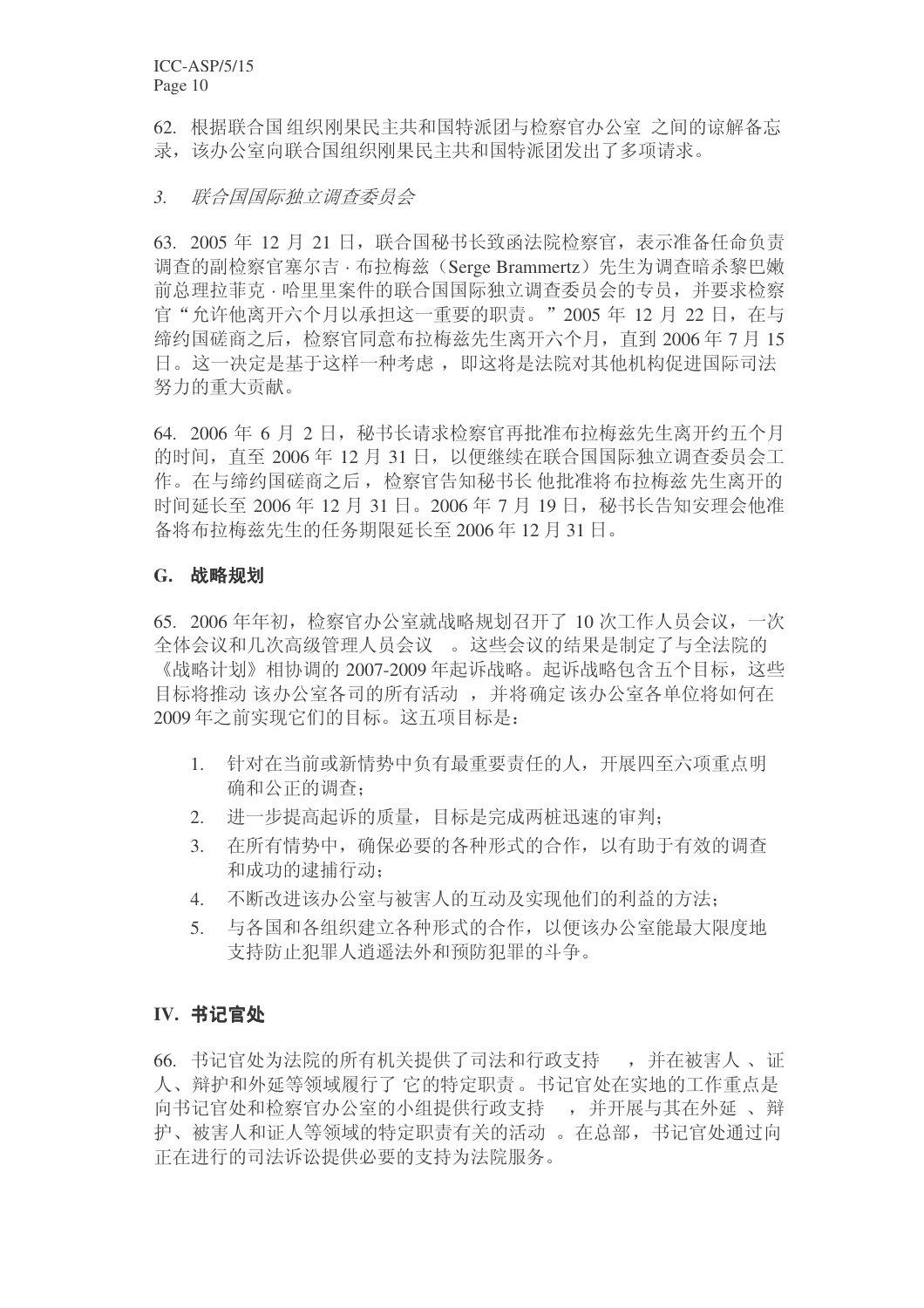62. 根据联合国组织刚果民主共和国特派团与检察官办公室 之间的谅解备忘 录,该办公室向联合国组织刚果民主共和国特派团发出了多项请求。

#### 3. 联合国国际独立调查委员会

63. 2005 年 12 月 21 日, 联合国秘书长致函法院检察官, 表示准备任命负责 调查的副检察官塞尔吉 · 布拉梅兹 (Serge Brammertz) 先生为调查暗杀黎巴嫩 前总理拉菲克·哈里里案件的联合国国际独立调杳委员会的专员,并要求检察 官"允许他离开六个月以承担这一重要的职责。"2005年12月22日,在与 缔约国磋商之后, 检察官同意布拉梅兹先生离开六个月, 直到 2006年7月 15 日。这一决定是基于这样一种考虑, 即这将是法院对其他机构促进国际司法 努力的重大贡献。

64. 2006 年 6 月 2 日, 秘书长请求检察官再批准布拉梅兹先生离开约五个月 的时间, 直至 2006年 12 月 31 日, 以便继续在联合国国际独立调查委员会工 作。在与缔约国磋商之后, 检察官告知秘书长 他批准将布拉梅兹先生离开的 时间延长至 2006 年 12 月 31 日。2006 年 7 月 19 日, 秘书长告知安理会他准 备将布拉梅兹先生的任务期限延长至 2006年12月31日。

## **G.** 战略规划

65. 2006年年初, 检察官办公室就战略规划召开了 10 次工作人员会议, 一次 全体会议和几次高级管理人员会议。这些会议的结果是制定了与全法院的 《战略计划》相协调的 2007-2009 年起诉战略。起诉战略包含五个目标, 这些 目标将推动 该办公室各司的所有活动, 并将确定该办公室各单位将如何在 2009年之前实现它们的目标。这五项目标是:

- 1. 针对在当前或新情势中负有最重要责任的人,开展四至六项重点明 确和公正的调查:
- 2. 进一步提高起诉的质量,目标是完成两桩迅速的审判;
- 3. 在所有情势中, 确保必要的各种形式的合作, 以有助于有效的调杳 和成功的逮捕行动;
- 4. 不断改进该办公室与被害人的互动及实现他们的利益的方法:
- 5. 与各国和各组织建立各种形式的合作,以便该办公室能最大限度地 支持防止犯罪人消遥法外和预防犯罪的斗争。

# **IV. 书记官处**

66. 书记官处为法院的所有机关提供了司法和行政支持 , 并在被害人、证 人、辩护和外延等领域履行了它的特定职责。书记官处在实地的工作重点是 向书记官处和检察官办公室的小组提供行政支持 , 并开展与其在外延、辩 护、被害人和证人等领域的特定职责有关的活动。在总部,书记官处通过向 正在进行的司法诉讼提供必要的支持为法院服务。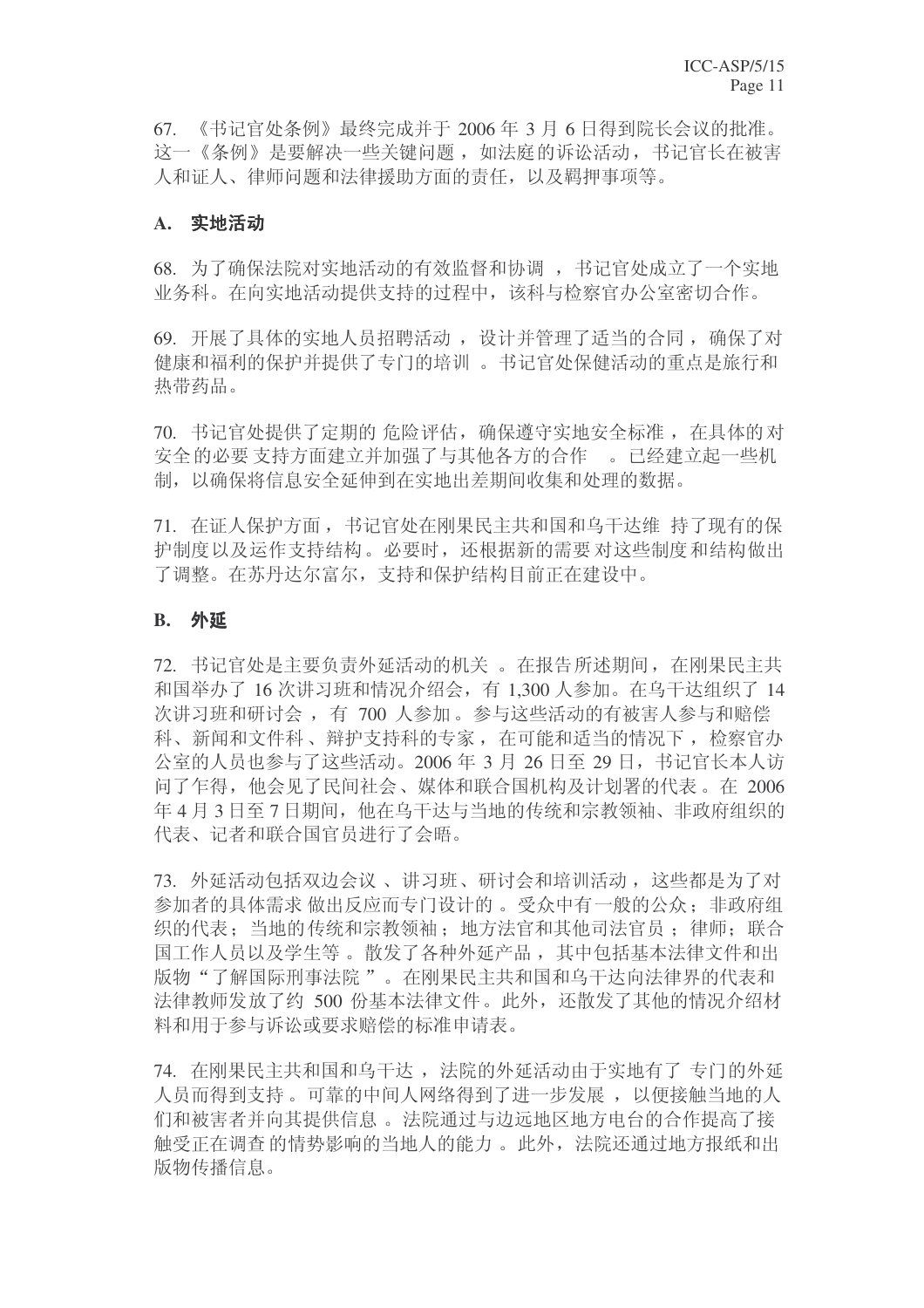$67.$  《书记官处条例》最终完成并于 2006 年 3 月 6 日得到院长会议的批准。 这一《条例》是要解决一些关键问题, 如法庭的诉讼活动, 书记官长在被害 人和证人、律师问题和法律援助方面的责任, 以及羁押事项等。

## **A.** 实地活动

68. 为了确保法院对实地活动的有效监督和协调, 书记官处成立了一个实地 业务科。在向实地活动提供支持的过程中,该科与检察官办公室密切合作。

69. 开展了具体的实地人员招聘活动, 设计并管理了活当的合同, 确保了对 健康和福利的保护并提供了专门的培训。书记官处保健活动的重点是旅行和 热带药品。

70. 书记官处提供了定期的 危险评估, 确保遵守实地安全标准, 在具体的对 安全的必要 支持方面建立并加强了与基他各方的合作。。已经建立起一些机 制, 以确保将信息安全延伸到在实地出差期间收集和处理的数据。

71. 在证人保护方面, 书记官处在刚果民主共和国和乌干达维 持了现有的保 护制度以及运作支持结构。必要时,还根据新的需要对这些制度和结构做出 了调整。在苏丹达尔富尔, 支持和保护结构目前正在建设中。

## **B.** 外延

72. 书记官处是主要负责外延活动的机关。在报告所述期间, 在刚果民主共 和国举办了16 次讲习班和情况介绍会, 有 1.300 人参加。在乌干达组织了 14 次讲习班和研讨会, 有 700 人参加。参与这些活动的有被害人参与和赔偿 科、新闻和文件科、辩护支持科的专家, 在可能和适当的情况下, 检察官办 公室的人员也参与了这些活动。2006 年 3 月 26 日至 29 日, 书记官长本人访 问了乍得, 他会见了民间社会、媒体和联合国机构及计划署的代表。在 2006 年 4 月 3 日至 7 日期间, 他在乌干达与当地的传统和宗教领袖、非政府组织的 代表、记者和联合国官员讲行了会晤。

73. 外延活动包括双边会议、讲习班、研讨会和培训活动, 这些都是为了对 参加者的具体需求做出反应而专门设计的。受众中有一般的公众: 非政府组 织的代表: 当地的传统和宗教领袖: 地方法官和其他司法官员; 律师: 联合 国工作人员以及学生等。散发了各种外延产品,其中包括基本法律文件和出 版物"了解国际刑事法院"。在刚果民主共和国和乌干达向法律界的代表和 法律教师发放了约 500 份基本法律文件。此外, 还散发了其他的情况介绍材 料和用于参与诉讼或要求赔偿的标准申请表。

74. 在刚果民主共和国和乌干达, 法院的外延活动由于实地有了专门的外延 人员而得到支持。可靠的中间人网络得到了进一步发展, 以便接触当地的人 们和被害者并向其提供信息。 法院通过与边远地区地方电台的合作提高了接 触受正在调查的情势影响的当地人的能力。此外, 法院还通过地方报纸和出 版物传播信息。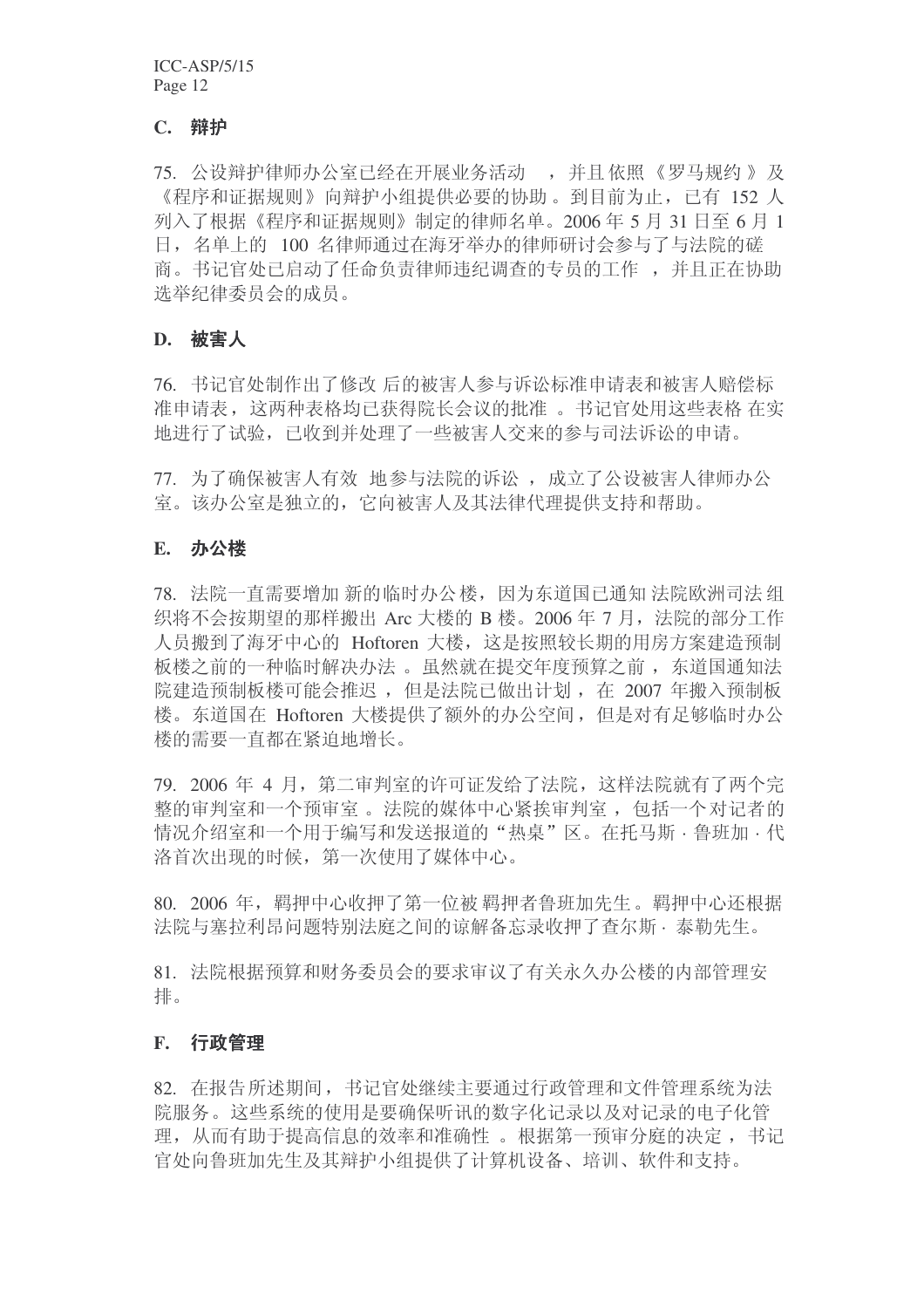## **C.** 辩护

75. 公设辩护律师办公室已经在开展业务活动, 并且依照《罗马规约》及 《程序和证据规则》向辩护小组提供必要的协助。到目前为止,已有 152 人 列入了根据《程序和证据规则》制定的律师名单。2006年5月31日至6月1 日, 名单上的 100 名律师通过在海牙举办的律师研讨会参与了与法院的磋 商。书记官处已启动了任命负责律师违纪调杳的专员的工作,并且正在协助 选举纪律委员会的成员。

#### **D.** 被害人

76. 书记官处制作出了修改 后的被害人参与诉讼标准申请表和被害人赔偿标 准申请表, 这两种表格均已获得院长会议的批准。书记官处用这些表格 在实 地讲行了试验,已收到并处理了一些被害人交来的参与司法诉讼的申请。

77. 为了确保被害人有效 地参与法院的诉讼, 成立了公设被害人律师办公 室。该办公室是独立的, 它向被害人及其法律代理提供支持和帮助。

#### **E.** 办公楼

78. 法院一直需要增加新的临时办公楼,因为东道国已通知法院欧洲司法组 织将不会按期望的那样搬出 Arc 大楼的 B 楼。2006 年 7 月, 法院的部分工作 人员搬到了海牙中心的 Hoftoren 大楼, 这是按照较长期的用房方案建造预制 板楼之前的一种临时解决办法。虽然就在提交年度预算之前, 东道国通知法 院建造预制板楼可能会推迟, 但是法院已做出计划, 在 2007 年搬入预制板 楼。东道国在 Hoftoren 大楼提供了额外的办公空间, 但是对有足够临时办公 楼的需要一直都在紧迫地增长。

79. 2006 年 4 月, 第二审判室的许可证发给了法院, 这样法院就有了两个完 整的审判室和一个预审室。 法院的媒体中心紧挨审判室, 包括一个对记者的 情况介绍室和一个用于编写和发送报道的"热桌"区。在托马斯·鲁班加·代 洛首次出现的时候, 第一次使用了媒体中心。

80. 2006 年, 羁押中心收押了第一位被 羁押者鲁班加先生。羁押中心还根据 法院与塞拉利昂问题特别法庭之间的谅解备忘录收押了杳尔斯·泰勒先生。

81. 法院根据预算和财务委员会的要求审议了有关永久办公楼的内部管理安 排。

#### **F.** 行政管理

82. 在报告所述期间, 书记官处继续主要通过行政管理和文件管理系统为法 院服务。这些系统的使用是要确保听讯的数字化记录以及对记录的电子化管 理, 从而有助于提高信息的效率和准确性。根据第一预审分庭的决定, 书记 官处向鲁班加先生及其辩护小组提供了计算机设备、培训、软件和支持。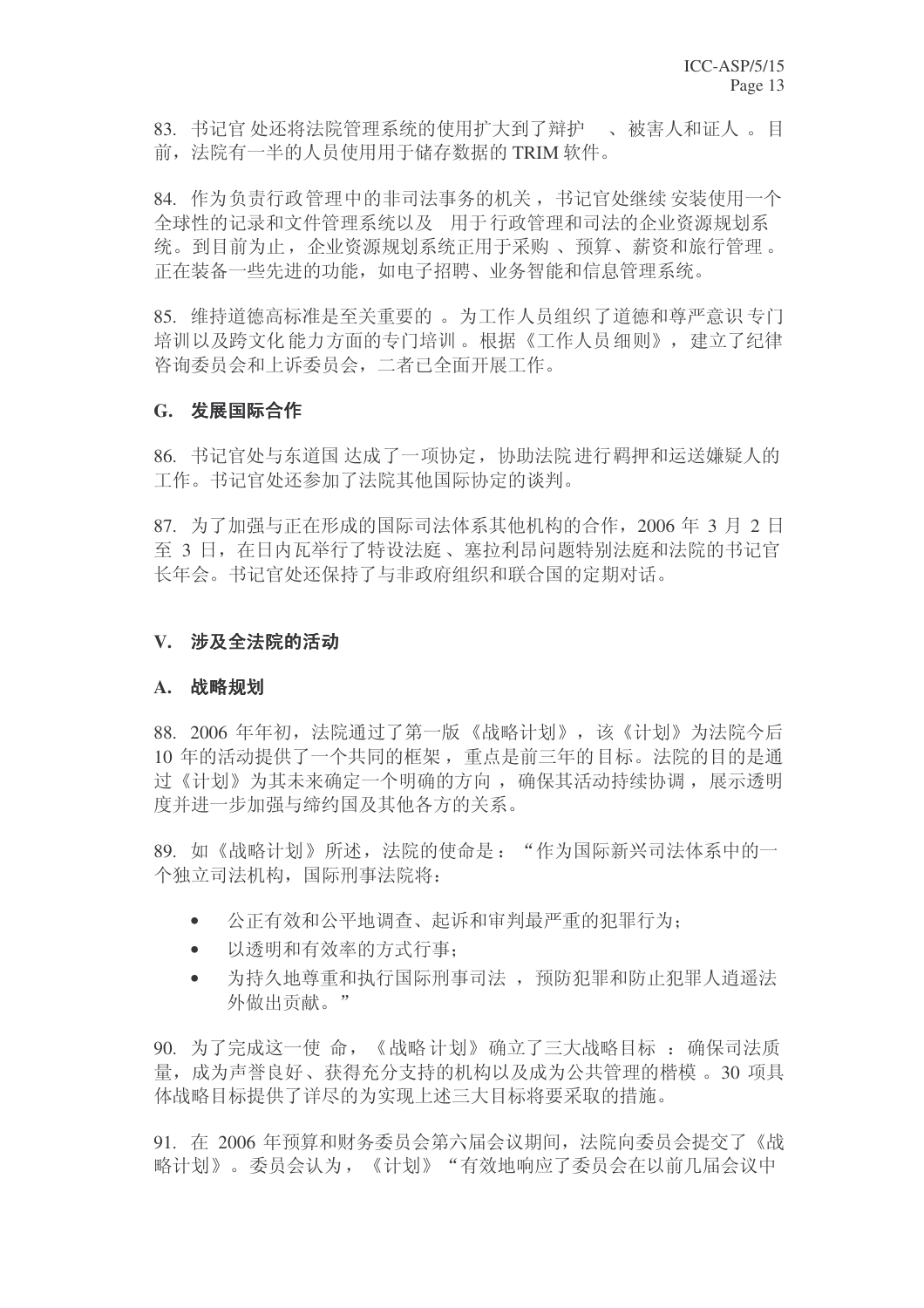83. 书记官处还将法院管理系统的使用扩大到了辩护。、被害人和证人。目 前, 法院有一半的人员使用用于储存数据的 TRIM 软件。

84. 作为负责行政管理中的非司法事务的机关, 书记官处继续 安装使用一个 全球性的记录和文件管理系统以及 用于行政管理和司法的企业资源规划系 统。到目前为止, 企业资源规划系统正用于采购、预算、薪资和旅行管理。 正在装备一些先讲的功能,如电子招聘、业务智能和信息管理系统。

85. 维持道德高标准是至关重要的。为工作人员组织了道德和尊严意识专门 培训以及跨文化能力方面的专门培训。根据《工作人员细则》, 建立了纪律 咨询委员会和上诉委员会, 二者已全面开展工作。

# G. 发展国际合作

86. 书记官处与东道国 达成了一项协定, 协助法院进行羁押和运送嫌疑人的 工作。书记官处还参加了法院其他国际协定的谈判。

 $87.$  为了加强与正在形成的国际司法体系其他机构的合作, 2006 年 3 月 2 日 至 3 日, 在日内瓦举行了特设法庭、塞拉利昂问题特别法庭和法院的书记官 长年会。书记官处还保持了与非政府组织和联合国的定期对话。

# V. 涉及全法院的活动

#### A. 战略规划

88. 2006 年年初, 法院通过了第一版《战略计划》, 该《计划》为法院今后 10 年的活动提供了一个共同的框架, 重点是前三年的目标。法院的目的是通 讨《计划》为其未来确定一个明确的方向, 确保其活动持续协调, 展示透明 度并进一步加强与缔约国及其他各方的关系。

89. 如《战略计划》所述, 法院的使命是: "作为国际新兴司法体系中的一 个独立司法机构, 国际刑事法院将:

- 公正有效和公平地调查、起诉和审判最严重的犯罪行为;
- 以透明和有效率的方式行事:
- 为持久地尊重和执行国际刑事司法, 预防犯罪和防止犯罪人消遥法 外做出贡献。"

90. 为了完成这一使命, 《战略计划》确立了三大战略目标: 确保司法质 量, 成为声誉良好、获得充分支持的机构以及成为公共管理的楷模。30 项具 体战略目标提供了详尽的为实现上述三大目标将要采取的措施。

91. 在 2006 年预算和财务委员会第六届会议期间, 法院向委员会提交了《战 略计划》。委员会认为, 《计划》"有效地响应了委员会在以前几届会议中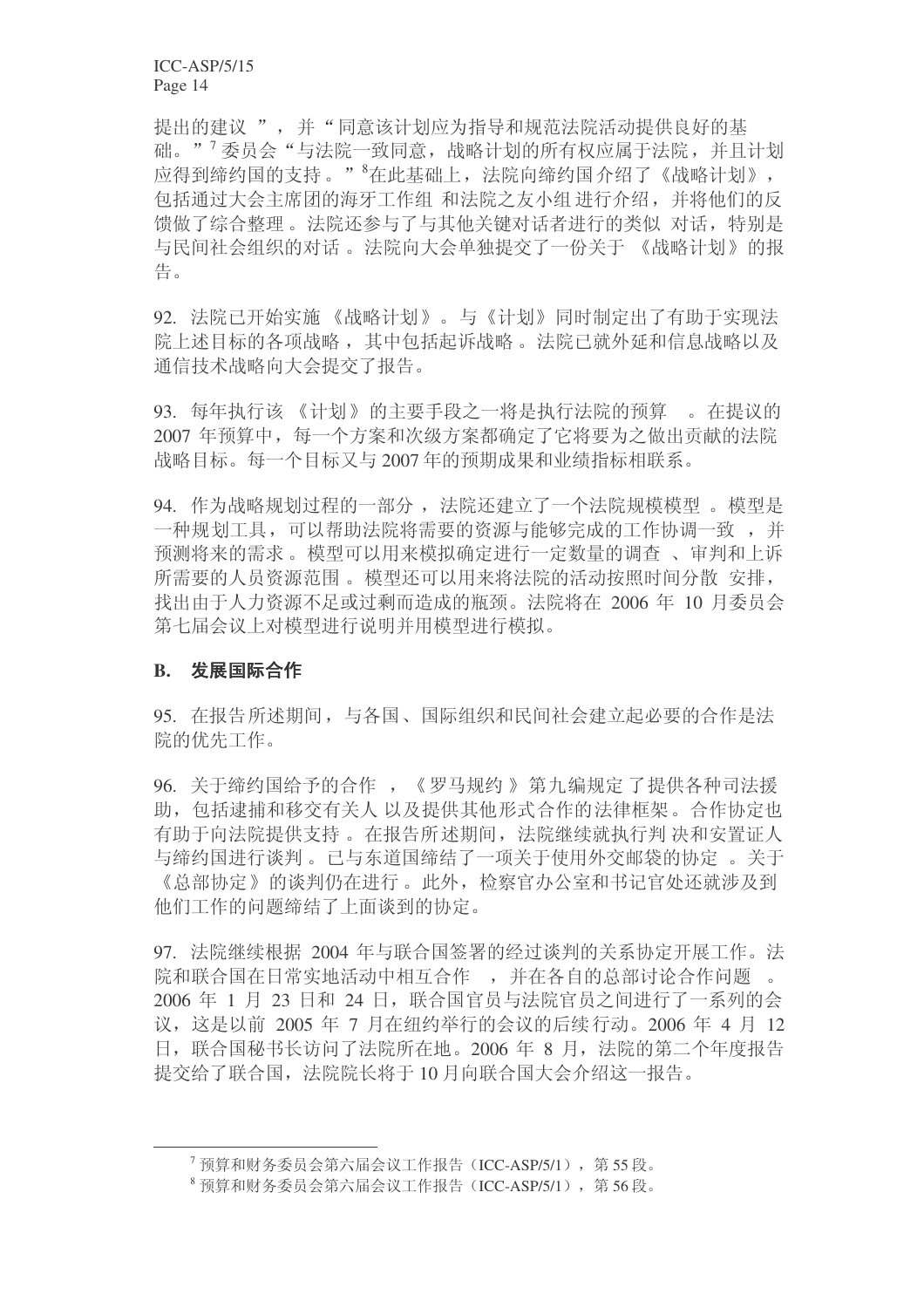提出的建议",并"同意该计划应为指导和规范法院活动提供良好的基 础。"<sup>7</sup>委员会"与法院一致同意,战略计划的所有权应属于法院,并且计划 应得到缔约国的支持。"<sup>8</sup>在此基础上, 法院向缔约国介绍了《战略计划》, 包括通过大会主席团的海牙工作组和法院之友小组进行介绍,并将他们的反 馈做了综合整理。法院还参与了与其他关键对话者进行的类似 对话, 特别是 与民间社会组织的对话。 法院向大会单独提交了一份关于 《战略计划》的报 告。

92. 法院已开始实施《战略计划》。与《计划》同时制定出了有助于实现法 院上述目标的各项战略, 其中包括起诉战略。法院已就外延和信息战略以及 通信技术战略向大会提交了报告。

93. 每年执行该《计划》的主要手段之一将是执行法院的预算。在提议的 2007 年预算中, 每一个方案和次级方案都确定了它将要为之做出贡献的法院 战略目标。每一个目标又与2007年的预期成果和业绩指标相联系。

94. 作为战略规划过程的一部分, 法院还建立了一个法院规模模型。模型是 一种规划工具,可以帮助法院将需要的资源与能够完成的工作协调一致,并 预测将来的需求。模型可以用来模拟确定进行一定数量的调查 、审判和上诉 所需要的人员资源范围。模型还可以用来将法院的活动按照时间分散 安排, 找出由于人力资源不足或过剩而造成的瓶颈。法院将在 2006 年 10 月委员会 第七届会议上对模型进行模型进行模拟。

# **B.** 发展国际合作

95. 在报告所述期间, 与各国、国际组织和民间社会建立起必要的合作是法 院的优先工作。

96. 关于缔约国给予的合作, 《罗马规约》第九编规定了提供各种司法援 助, 包括逮捕和移交有关人以及提供其他形式合作的法律框架。合作协定也 有助于向法院提供支持。在报告所述期间, 法院继续就执行判 决和安置证人 与缔约国进行谈判。已与东道国缔结了一项关于使用外交邮袋的协定 。关于 《总部协定》的谈判仍在进行。此外, 检察官办公室和书记官处还就涉及到 他们工作的问题缔结了上面谈到的协定。

97. 法院继续根据 2004 年与联合国签署的经过谈判的关系协定开展工作。法 院和联合国在日常实地活动中相互合作, 并在各自的总部讨论合作问题。 2006 年 1 月 23 日和 24 日, 联合国官员与法院官员之间进行了一系列的会 议, 这是以前 2005 年 7 月在纽约举行的会议的后续行动。2006 年 4 月 12 日, 联合国秘书长访问了法院所在地。2006 年 8 月, 法院的第二个年度报告 提交给了联合国, 法院院长将于10月向联合国大会介绍这一报告。

 $7\overline{$  预算和财务委员会第六届会议工作报告(ICC-ASP/5/1), 第55段。

 $8 \overline{0}$  预算和财务委员会第六届会议工作报告 (ICC-ASP/5/1), 第56段。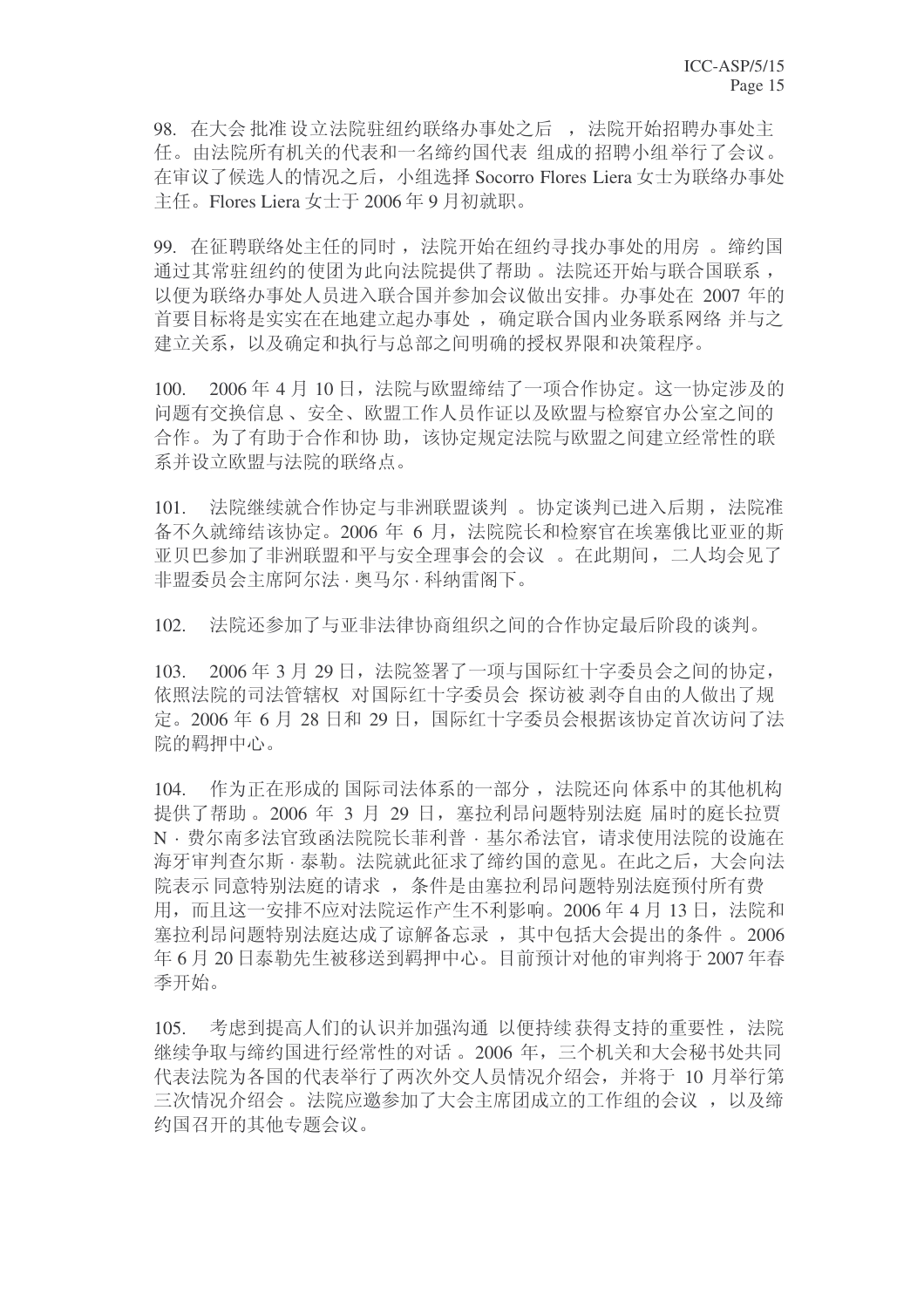98. 在大会批准设立法院驻纽约联络办事处之后, 法院开始招聘办事处主 任。由法院所有机关的代表和一名缔约国代表 组成的招聘小组举行了会议。 在审议了候选人的情况之后,小组选择 Socorro Flores Liera 女士为联络办事处 主任。Flores Liera 女士于 2006年9月初就职。

99. 在征聘联络处主任的同时, 法院开始在纽约寻找办事处的用房。缔约国 通讨其常驻纽约的使团为此向法院提供了帮助。法院还开始与联合国联系, 以便为联络办事处人员进入联合国并参加会议做出安排。办事处在 2007 年的 首要目标将是实实在在地建立起办事处, 确定联合国内业务联系网络 并与之 建立关系, 以及确定和执行与总部之间明确的授权界限和决策程序。

100. 2006年4月10日, 法院与欧盟缔结了一项合作协定。这一协定涉及的 问题有交换信息、安全、欧盟工作人员作证以及欧盟与检察官办公室之间的 合作。为了有助于合作和协助,该协定规定法院与欧盟之间建立经常性的联 系并设立欧盟与法院的联络点。

101. 法院继续就合作协定与非洲联盟谈判 。协定谈判已进入后期, 法院准 备不久就缔结该协定。2006 年 6 月, 法院院长和检察官在埃塞俄比亚亚的斯 亚贝巴参加了非洲联盟和平与安全理事会的会议。在此期间, 二人均会见了 非盟委员会主席阿尔法·奥马尔·科纳雷阁下。

102. 法院还参加了与亚非法律协商组织之间的合作协定最后阶段的谈判。

103. 2006年3月29日, 法院签署了一项与国际红十字委员会之间的协定, 依照法院的司法管辖权 对国际红十字委员会 探访被剥夺自由的人做出了规 定。2006年6月28日和29日,国际红十字委员会根据该协定首次访问了法 院的羁押中心。

104. 作为正在形成的国际司法体系的一部分, 法院还向体系中的基他机构 提供了帮助。2006年 3 月 29 日, 塞拉利昂问题特别法庭 届时的庭长拉贾 N · 费尔南多法官致函法院院长菲利普 · 基尔希法官, 请求使用法院的设施在 海牙审判杳尔斯 · 泰勒。法院就此征求了缔约国的意见。在此之后, 大会向法 院表示同意特别法庭的请求, 条件是由塞拉利昂问题特别法庭预付所有费 用, 而且这一安排不应对法院运作产生不利影响。2006年4月13日, 法院和 塞拉利昂问题特别法庭达成了谅解备忘录, 其中包括大会提出的条件。2006 年 6月20日泰勒先生被移送到羁押中心。目前预计对他的审判将于2007年春 季开始。

105. 考虑到提高人们的认识并加强沟通 以便持续获得支持的重要性, 法院 继续争取与缔约国进行经常性的对话。2006年,三个机关和大会秘书处共同 代表法院为各国的代表举行了两次外交人员情况介绍会,并将于 10 月举行第 三次情况介绍会。法院应邀参加了大会主席团成立的工作组的会议, 以及缔 约国召开的其他专题会议。